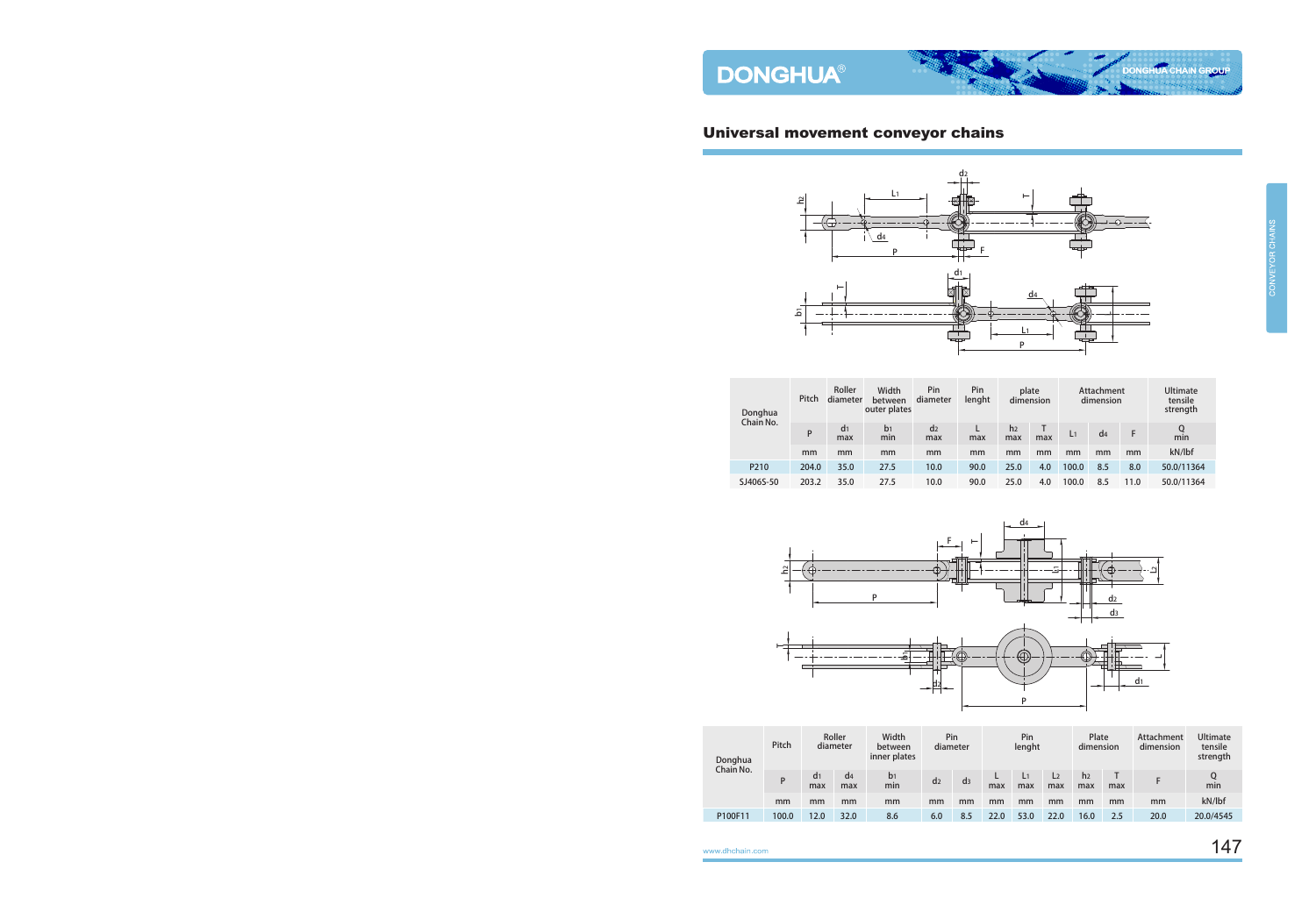## Universal movement conveyor chains



| Donghua          | Pitch | Roller<br>diameter    | Width<br>between<br>outer plates | Pin<br>diameter       | Pin<br>lenght |                       | plate<br>dimension |                | Attachment<br>dimension |      | <b>Ultimate</b><br>tensile<br>strength |
|------------------|-------|-----------------------|----------------------------------|-----------------------|---------------|-----------------------|--------------------|----------------|-------------------------|------|----------------------------------------|
| Chain No.        | P     | d <sub>1</sub><br>max | b <sub>1</sub><br>min            | d <sub>2</sub><br>max | max           | h <sub>2</sub><br>max | max                | L <sub>1</sub> | d <sub>4</sub>          |      | Q<br>min                               |
|                  | mm    | mm                    | mm                               | mm                    | mm            | mm                    | mm                 | mm             | mm                      | mm   | kN/lbf                                 |
| P <sub>210</sub> | 204.0 | 35.0                  | 27.5                             | 10.0                  | 90.0          | 25.0                  | 4.0                | 100.0          | 8.5                     | 8.0  | 50.0/11364                             |
| SJ406S-50        | 203.2 | 35.0                  | 27.5                             | 10.0                  | 90.0          | 25.0                  | 4.0                | 100.0          | 8.5                     | 11.0 | 50.0/11364                             |



| Donghua   | Pitch | Roller<br>diameter    |                       | Pin<br>Width<br>diameter<br>between<br>inner plates |                | Pin<br>lenght  |          |                       | Plate<br>dimension    |                       | Attachment<br>dimension | <b>Ultimate</b><br>tensile<br>strength |           |
|-----------|-------|-----------------------|-----------------------|-----------------------------------------------------|----------------|----------------|----------|-----------------------|-----------------------|-----------------------|-------------------------|----------------------------------------|-----------|
| Chain No. | P     | d <sub>1</sub><br>max | d <sub>4</sub><br>max | b <sub>1</sub><br>min                               | d <sub>2</sub> | d <sub>3</sub> | L<br>max | L <sub>1</sub><br>max | L <sub>2</sub><br>max | h <sub>2</sub><br>max | max                     |                                        | min       |
|           | mm    | mm                    | mm                    | mm                                                  | mm             | mm             | mm       | mm                    | mm                    | mm                    | mm                      | mm                                     | kN/lbf    |
| P100F11   | 100.0 | 12.0                  | 32.0                  | 8.6                                                 | 6.0            | 8.5            | 22.0     | 53.0                  | 22.0                  | 16.0                  | 2.5                     | 20.0                                   | 20.0/4545 |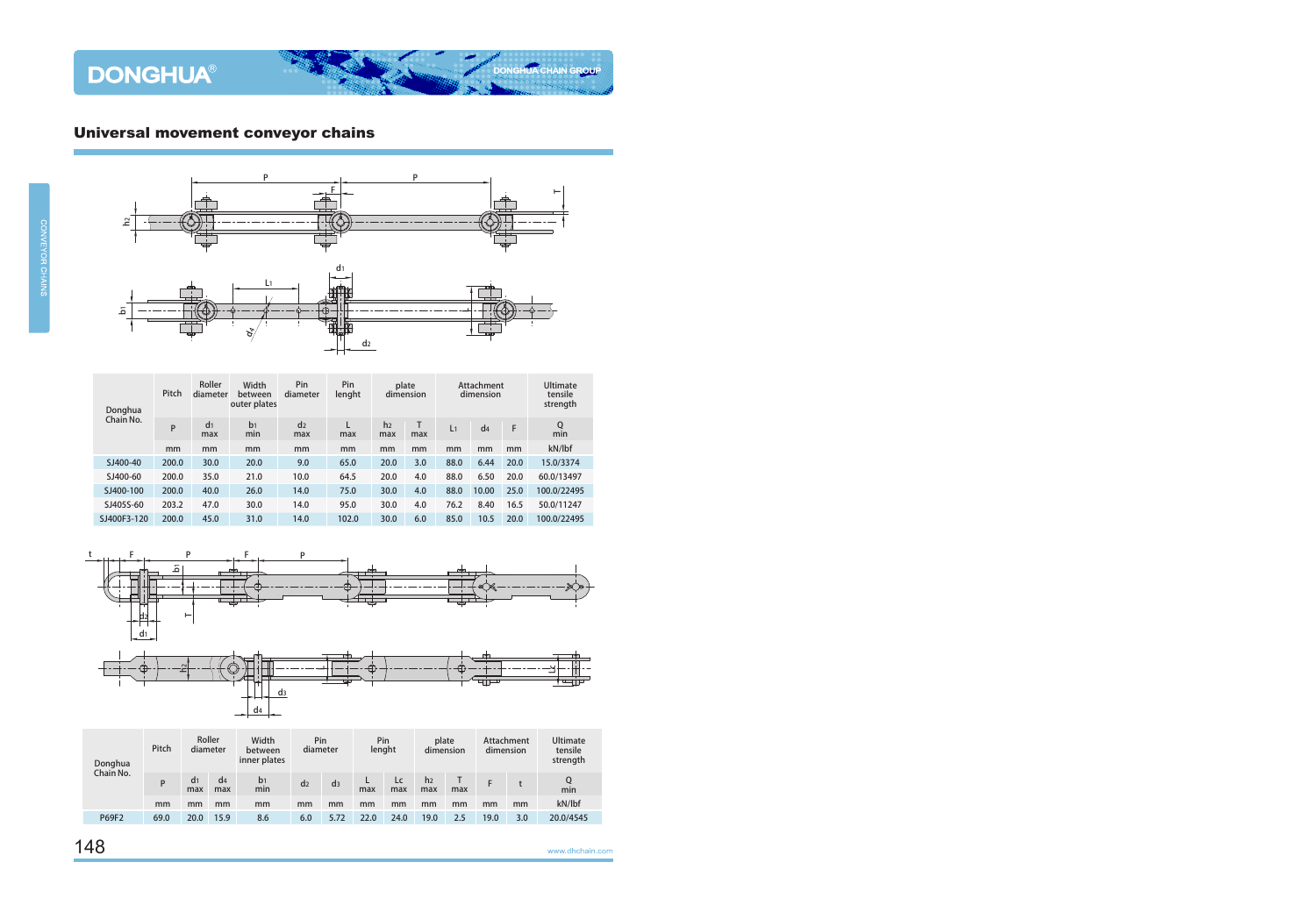## Universal movement conveyor chains



| Donghua     | Pitch | Roller<br>diameter    | Width<br>between<br>outer plates | Pin<br>diameter       | Pin<br>lenght | plate<br>dimension    |     |                | Attachment<br>dimension | <b>Ultimate</b><br>tensile<br>strength |                    |
|-------------|-------|-----------------------|----------------------------------|-----------------------|---------------|-----------------------|-----|----------------|-------------------------|----------------------------------------|--------------------|
| Chain No.   | P     | d <sub>1</sub><br>max | b <sub>1</sub><br>min            | d <sub>2</sub><br>max | max           | h <sub>2</sub><br>max | max | L <sub>1</sub> | d4                      | F                                      | $Q$ <sub>min</sub> |
|             | mm    | mm                    | mm                               | mm                    | mm            | mm                    | mm  | mm             | mm                      | mm                                     | kN/lbf             |
| SJ400-40    | 200.0 | 30.0                  | 20.0                             | 9.0                   | 65.0          | 20.0                  | 3.0 | 88.0           | 6.44                    | 20.0                                   | 15.0/3374          |
| SJ400-60    | 200.0 | 35.0                  | 21.0                             | 10.0                  | 64.5          | 20.0                  | 4.0 | 88.0           | 6.50                    | 20.0                                   | 60.0/13497         |
| SJ400-100   | 200.0 | 40.0                  | 26.0                             | 14.0                  | 75.0          | 30.0                  | 4.0 | 88.0           | 10.00                   | 25.0                                   | 100.0/22495        |
| SJ405S-60   | 203.2 | 47.0                  | 30.0                             | 14.0                  | 95.0          | 30.0                  | 4.0 | 76.2           | 8.40                    | 16.5                                   | 50.0/11247         |
| SJ400F3-120 | 200.0 | 45.0                  | 31.0                             | 14.0                  | 102.0         | 30.0                  | 6.0 | 85.0           | 10.5                    | 20.0                                   | 100.0/22495        |



| Donghua<br>Chain No. | Pitch | Roller<br>diameter    |                       | Width<br>between<br>inner plates | Pin<br>diameter |                | Pin<br>lenght |           | plate<br>dimension    |     | Attachment<br>dimension |     | <b>Ultimate</b><br>tensile<br>strength |
|----------------------|-------|-----------------------|-----------------------|----------------------------------|-----------------|----------------|---------------|-----------|-----------------------|-----|-------------------------|-----|----------------------------------------|
|                      | P     | d <sub>1</sub><br>max | d <sub>4</sub><br>max | b1<br>min                        | d <sub>2</sub>  | d <sub>3</sub> | max           | Lc<br>max | h <sub>2</sub><br>max | max |                         |     | min                                    |
|                      | mm    | mm                    | mm                    | mm                               | mm              | mm             | mm            | mm        | mm                    | mm  | mm                      | mm  | kN/lbf                                 |
| <b>P69F2</b>         | 69.0  | 20.0                  | 15.9                  | 8.6                              | 6.0             | 5.72           | 22.0          | 24.0      | 19.0                  | 2.5 | 19.0                    | 3.0 | 20.0/4545                              |